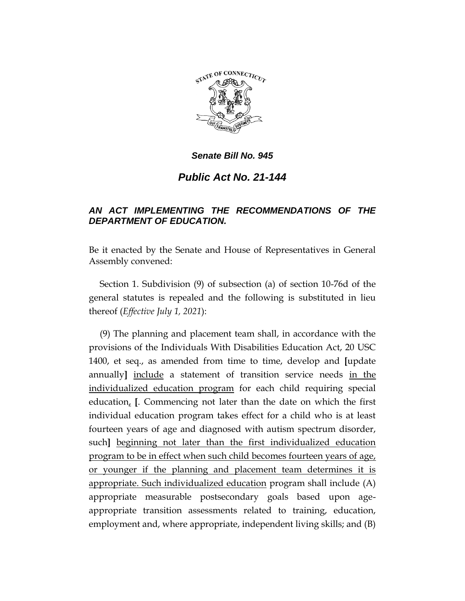

*Public Act No. 21-144*

# *AN ACT IMPLEMENTING THE RECOMMENDATIONS OF THE DEPARTMENT OF EDUCATION.*

Be it enacted by the Senate and House of Representatives in General Assembly convened:

Section 1. Subdivision (9) of subsection (a) of section 10-76d of the general statutes is repealed and the following is substituted in lieu thereof (*Effective July 1, 2021*):

(9) The planning and placement team shall, in accordance with the provisions of the Individuals With Disabilities Education Act, 20 USC 1400, et seq., as amended from time to time, develop and **[**update annually**]** include a statement of transition service needs in the individualized education program for each child requiring special education, **[**. Commencing not later than the date on which the first individual education program takes effect for a child who is at least fourteen years of age and diagnosed with autism spectrum disorder, such**]** beginning not later than the first individualized education program to be in effect when such child becomes fourteen years of age, or younger if the planning and placement team determines it is appropriate. Such individualized education program shall include (A) appropriate measurable postsecondary goals based upon ageappropriate transition assessments related to training, education, employment and, where appropriate, independent living skills; and (B)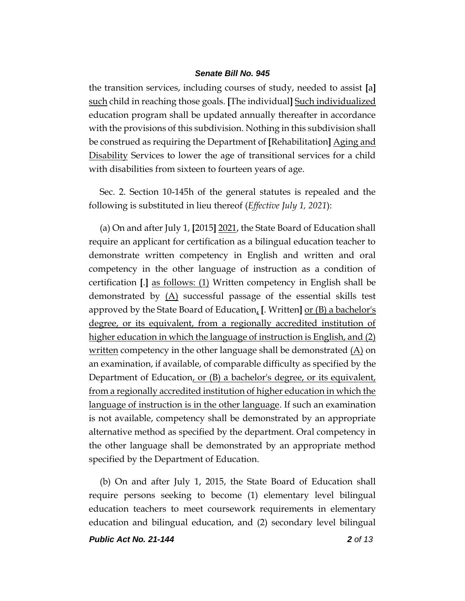the transition services, including courses of study, needed to assist **[**a**]** such child in reaching those goals. **[**The individual**]** Such individualized education program shall be updated annually thereafter in accordance with the provisions of this subdivision. Nothing in this subdivision shall be construed as requiring the Department of **[**Rehabilitation**]** Aging and Disability Services to lower the age of transitional services for a child with disabilities from sixteen to fourteen years of age.

Sec. 2. Section 10-145h of the general statutes is repealed and the following is substituted in lieu thereof (*Effective July 1, 2021*):

(a) On and after July 1, **[**2015**]** 2021, the State Board of Education shall require an applicant for certification as a bilingual education teacher to demonstrate written competency in English and written and oral competency in the other language of instruction as a condition of certification **[**.**]** as follows: (1) Written competency in English shall be demonstrated by  $(A)$  successful passage of the essential skills test approved by the State Board of Education, **[**. Written**]** or (B) a bachelor's degree, or its equivalent, from a regionally accredited institution of higher education in which the language of instruction is English, and (2) written competency in the other language shall be demonstrated (A) on an examination, if available, of comparable difficulty as specified by the Department of Education, or (B) a bachelor's degree, or its equivalent, from a regionally accredited institution of higher education in which the language of instruction is in the other language. If such an examination is not available, competency shall be demonstrated by an appropriate alternative method as specified by the department. Oral competency in the other language shall be demonstrated by an appropriate method specified by the Department of Education.

(b) On and after July 1, 2015, the State Board of Education shall require persons seeking to become (1) elementary level bilingual education teachers to meet coursework requirements in elementary education and bilingual education, and (2) secondary level bilingual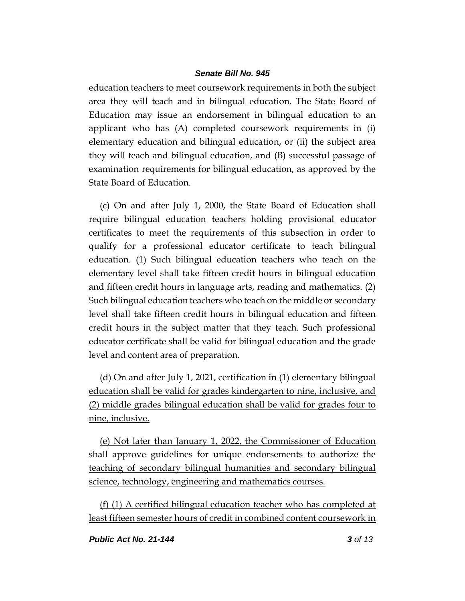education teachers to meet coursework requirements in both the subject area they will teach and in bilingual education. The State Board of Education may issue an endorsement in bilingual education to an applicant who has (A) completed coursework requirements in (i) elementary education and bilingual education, or (ii) the subject area they will teach and bilingual education, and (B) successful passage of examination requirements for bilingual education, as approved by the State Board of Education.

(c) On and after July 1, 2000, the State Board of Education shall require bilingual education teachers holding provisional educator certificates to meet the requirements of this subsection in order to qualify for a professional educator certificate to teach bilingual education. (1) Such bilingual education teachers who teach on the elementary level shall take fifteen credit hours in bilingual education and fifteen credit hours in language arts, reading and mathematics. (2) Such bilingual education teachers who teach on the middle or secondary level shall take fifteen credit hours in bilingual education and fifteen credit hours in the subject matter that they teach. Such professional educator certificate shall be valid for bilingual education and the grade level and content area of preparation.

(d) On and after July 1, 2021, certification in (1) elementary bilingual education shall be valid for grades kindergarten to nine, inclusive, and (2) middle grades bilingual education shall be valid for grades four to nine, inclusive.

(e) Not later than January 1, 2022, the Commissioner of Education shall approve guidelines for unique endorsements to authorize the teaching of secondary bilingual humanities and secondary bilingual science, technology, engineering and mathematics courses.

(f) (1) A certified bilingual education teacher who has completed at least fifteen semester hours of credit in combined content coursework in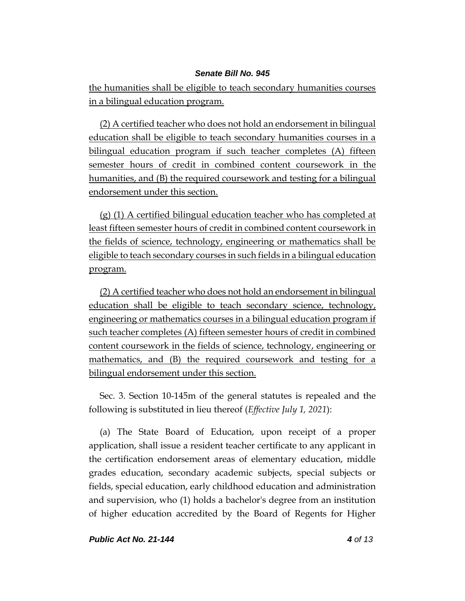the humanities shall be eligible to teach secondary humanities courses in a bilingual education program.

(2) A certified teacher who does not hold an endorsement in bilingual education shall be eligible to teach secondary humanities courses in a bilingual education program if such teacher completes (A) fifteen semester hours of credit in combined content coursework in the humanities, and (B) the required coursework and testing for a bilingual endorsement under this section.

(g) (1) A certified bilingual education teacher who has completed at least fifteen semester hours of credit in combined content coursework in the fields of science, technology, engineering or mathematics shall be eligible to teach secondary courses in such fields in a bilingual education program.

(2) A certified teacher who does not hold an endorsement in bilingual education shall be eligible to teach secondary science, technology, engineering or mathematics courses in a bilingual education program if such teacher completes (A) fifteen semester hours of credit in combined content coursework in the fields of science, technology, engineering or mathematics, and (B) the required coursework and testing for a bilingual endorsement under this section.

Sec. 3. Section 10-145m of the general statutes is repealed and the following is substituted in lieu thereof (*Effective July 1, 2021*):

(a) The State Board of Education, upon receipt of a proper application, shall issue a resident teacher certificate to any applicant in the certification endorsement areas of elementary education, middle grades education, secondary academic subjects, special subjects or fields, special education, early childhood education and administration and supervision, who (1) holds a bachelor's degree from an institution of higher education accredited by the Board of Regents for Higher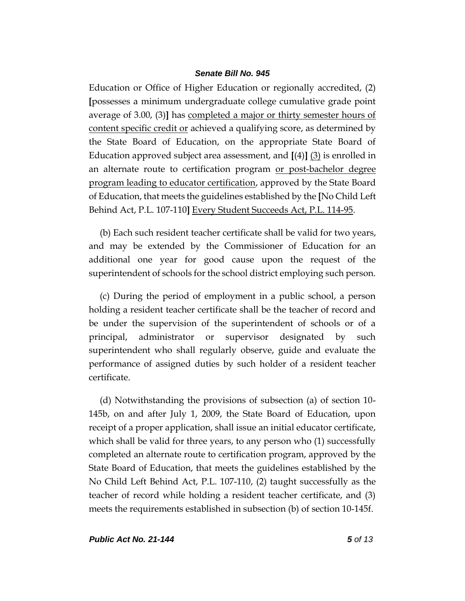Education or Office of Higher Education or regionally accredited, (2) **[**possesses a minimum undergraduate college cumulative grade point average of 3.00, (3)**]** has completed a major or thirty semester hours of content specific credit or achieved a qualifying score, as determined by the State Board of Education, on the appropriate State Board of Education approved subject area assessment, and **[**(4)**]** (3) is enrolled in an alternate route to certification program or post-bachelor degree program leading to educator certification, approved by the State Board of Education, that meets the guidelines established by the **[**No Child Left Behind Act, P.L. 107-110**]** Every Student Succeeds Act, P.L. 114-95.

(b) Each such resident teacher certificate shall be valid for two years, and may be extended by the Commissioner of Education for an additional one year for good cause upon the request of the superintendent of schools for the school district employing such person.

(c) During the period of employment in a public school, a person holding a resident teacher certificate shall be the teacher of record and be under the supervision of the superintendent of schools or of a principal, administrator or supervisor designated by such superintendent who shall regularly observe, guide and evaluate the performance of assigned duties by such holder of a resident teacher certificate.

(d) Notwithstanding the provisions of subsection (a) of section 10- 145b, on and after July 1, 2009, the State Board of Education, upon receipt of a proper application, shall issue an initial educator certificate, which shall be valid for three years, to any person who (1) successfully completed an alternate route to certification program, approved by the State Board of Education, that meets the guidelines established by the No Child Left Behind Act, P.L. 107-110, (2) taught successfully as the teacher of record while holding a resident teacher certificate, and (3) meets the requirements established in subsection (b) of section 10-145f.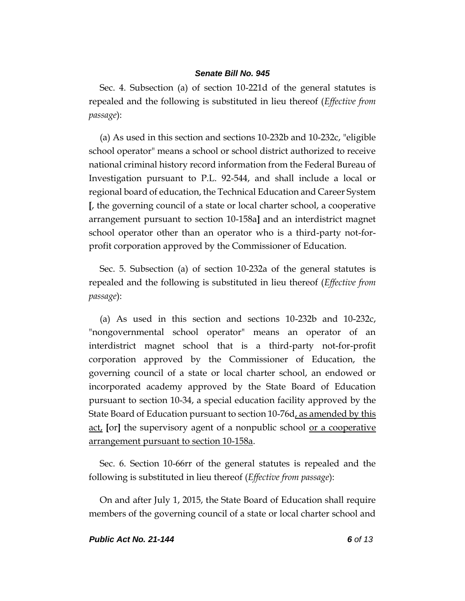Sec. 4. Subsection (a) of section 10-221d of the general statutes is repealed and the following is substituted in lieu thereof (*Effective from passage*):

(a) As used in this section and sections 10-232b and 10-232c, "eligible school operator" means a school or school district authorized to receive national criminal history record information from the Federal Bureau of Investigation pursuant to P.L. 92-544, and shall include a local or regional board of education, the Technical Education and Career System **[**, the governing council of a state or local charter school, a cooperative arrangement pursuant to section 10-158a**]** and an interdistrict magnet school operator other than an operator who is a third-party not-forprofit corporation approved by the Commissioner of Education.

Sec. 5. Subsection (a) of section 10-232a of the general statutes is repealed and the following is substituted in lieu thereof (*Effective from passage*):

(a) As used in this section and sections 10-232b and 10-232c, "nongovernmental school operator" means an operator of an interdistrict magnet school that is a third-party not-for-profit corporation approved by the Commissioner of Education, the governing council of a state or local charter school, an endowed or incorporated academy approved by the State Board of Education pursuant to section 10-34, a special education facility approved by the State Board of Education pursuant to section 10-76d, as amended by this act, **[**or**]** the supervisory agent of a nonpublic school or a cooperative arrangement pursuant to section 10-158a.

Sec. 6. Section 10-66rr of the general statutes is repealed and the following is substituted in lieu thereof (*Effective from passage*):

On and after July 1, 2015, the State Board of Education shall require members of the governing council of a state or local charter school and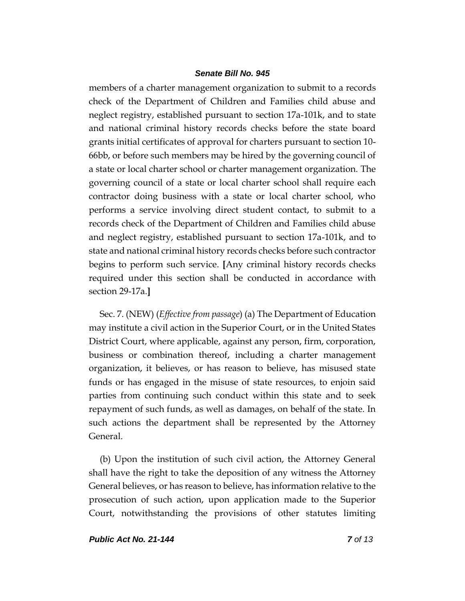members of a charter management organization to submit to a records check of the Department of Children and Families child abuse and neglect registry, established pursuant to section 17a-101k, and to state and national criminal history records checks before the state board grants initial certificates of approval for charters pursuant to section 10- 66bb, or before such members may be hired by the governing council of a state or local charter school or charter management organization. The governing council of a state or local charter school shall require each contractor doing business with a state or local charter school, who performs a service involving direct student contact, to submit to a records check of the Department of Children and Families child abuse and neglect registry, established pursuant to section 17a-101k, and to state and national criminal history records checks before such contractor begins to perform such service. **[**Any criminal history records checks required under this section shall be conducted in accordance with section 29-17a.**]**

Sec. 7. (NEW) (*Effective from passage*) (a) The Department of Education may institute a civil action in the Superior Court, or in the United States District Court, where applicable, against any person, firm, corporation, business or combination thereof, including a charter management organization, it believes, or has reason to believe, has misused state funds or has engaged in the misuse of state resources, to enjoin said parties from continuing such conduct within this state and to seek repayment of such funds, as well as damages, on behalf of the state. In such actions the department shall be represented by the Attorney General.

(b) Upon the institution of such civil action, the Attorney General shall have the right to take the deposition of any witness the Attorney General believes, or has reason to believe, has information relative to the prosecution of such action, upon application made to the Superior Court, notwithstanding the provisions of other statutes limiting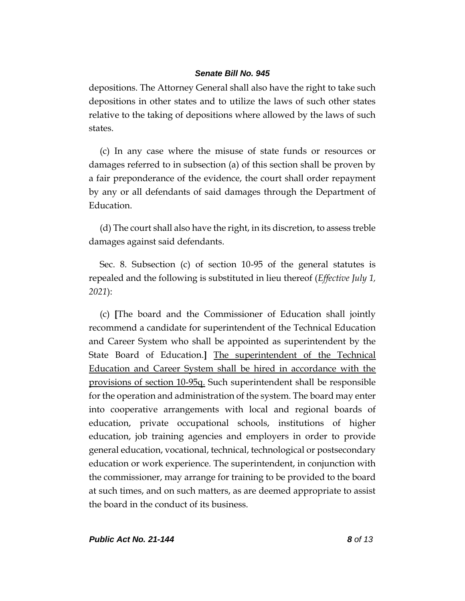depositions. The Attorney General shall also have the right to take such depositions in other states and to utilize the laws of such other states relative to the taking of depositions where allowed by the laws of such states.

(c) In any case where the misuse of state funds or resources or damages referred to in subsection (a) of this section shall be proven by a fair preponderance of the evidence, the court shall order repayment by any or all defendants of said damages through the Department of Education.

(d) The court shall also have the right, in its discretion, to assess treble damages against said defendants.

Sec. 8. Subsection (c) of section 10-95 of the general statutes is repealed and the following is substituted in lieu thereof (*Effective July 1, 2021*):

(c) **[**The board and the Commissioner of Education shall jointly recommend a candidate for superintendent of the Technical Education and Career System who shall be appointed as superintendent by the State Board of Education.**]** The superintendent of the Technical Education and Career System shall be hired in accordance with the provisions of section 10-95q. Such superintendent shall be responsible for the operation and administration of the system. The board may enter into cooperative arrangements with local and regional boards of education, private occupational schools, institutions of higher education, job training agencies and employers in order to provide general education, vocational, technical, technological or postsecondary education or work experience. The superintendent, in conjunction with the commissioner, may arrange for training to be provided to the board at such times, and on such matters, as are deemed appropriate to assist the board in the conduct of its business.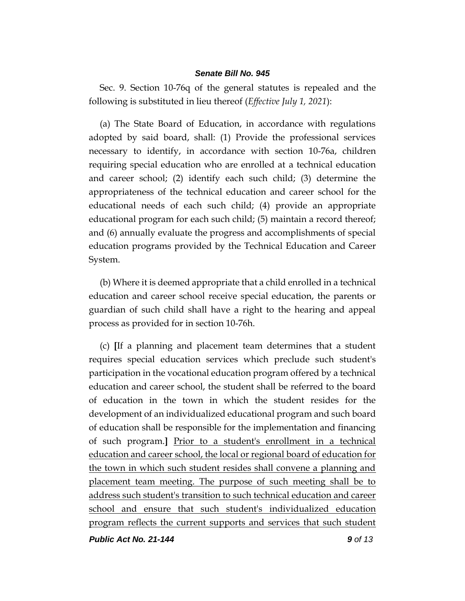Sec. 9. Section 10-76q of the general statutes is repealed and the following is substituted in lieu thereof (*Effective July 1, 2021*):

(a) The State Board of Education, in accordance with regulations adopted by said board, shall: (1) Provide the professional services necessary to identify, in accordance with section 10-76a, children requiring special education who are enrolled at a technical education and career school; (2) identify each such child; (3) determine the appropriateness of the technical education and career school for the educational needs of each such child; (4) provide an appropriate educational program for each such child; (5) maintain a record thereof; and (6) annually evaluate the progress and accomplishments of special education programs provided by the Technical Education and Career System.

(b) Where it is deemed appropriate that a child enrolled in a technical education and career school receive special education, the parents or guardian of such child shall have a right to the hearing and appeal process as provided for in section 10-76h.

(c) **[**If a planning and placement team determines that a student requires special education services which preclude such student's participation in the vocational education program offered by a technical education and career school, the student shall be referred to the board of education in the town in which the student resides for the development of an individualized educational program and such board of education shall be responsible for the implementation and financing of such program.**]** Prior to a student's enrollment in a technical education and career school, the local or regional board of education for the town in which such student resides shall convene a planning and placement team meeting. The purpose of such meeting shall be to address such student's transition to such technical education and career school and ensure that such student's individualized education program reflects the current supports and services that such student

*Public Act No. 21-144 9 of 13*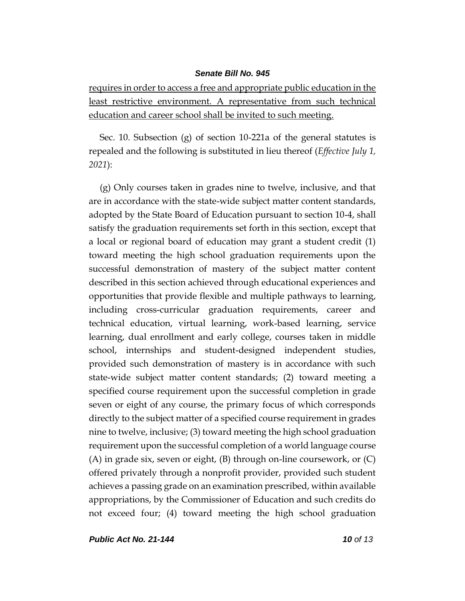requires in order to access a free and appropriate public education in the least restrictive environment. A representative from such technical education and career school shall be invited to such meeting.

Sec. 10. Subsection (g) of section 10-221a of the general statutes is repealed and the following is substituted in lieu thereof (*Effective July 1, 2021*):

(g) Only courses taken in grades nine to twelve, inclusive, and that are in accordance with the state-wide subject matter content standards, adopted by the State Board of Education pursuant to section 10-4, shall satisfy the graduation requirements set forth in this section, except that a local or regional board of education may grant a student credit (1) toward meeting the high school graduation requirements upon the successful demonstration of mastery of the subject matter content described in this section achieved through educational experiences and opportunities that provide flexible and multiple pathways to learning, including cross-curricular graduation requirements, career and technical education, virtual learning, work-based learning, service learning, dual enrollment and early college, courses taken in middle school, internships and student-designed independent studies, provided such demonstration of mastery is in accordance with such state-wide subject matter content standards; (2) toward meeting a specified course requirement upon the successful completion in grade seven or eight of any course, the primary focus of which corresponds directly to the subject matter of a specified course requirement in grades nine to twelve, inclusive; (3) toward meeting the high school graduation requirement upon the successful completion of a world language course (A) in grade six, seven or eight, (B) through on-line coursework, or (C) offered privately through a nonprofit provider, provided such student achieves a passing grade on an examination prescribed, within available appropriations, by the Commissioner of Education and such credits do not exceed four; (4) toward meeting the high school graduation

*Public Act No. 21-144 10 of 13*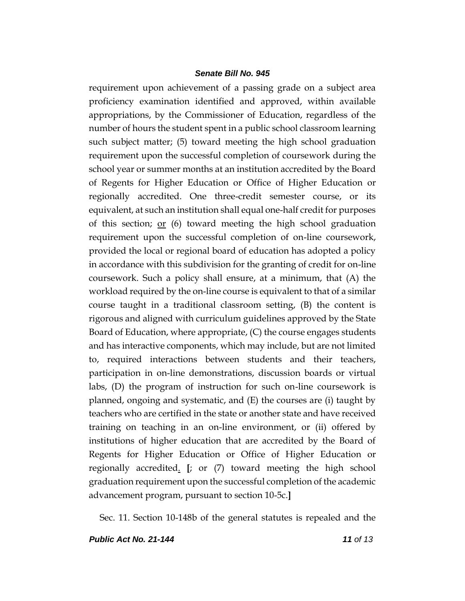requirement upon achievement of a passing grade on a subject area proficiency examination identified and approved, within available appropriations, by the Commissioner of Education, regardless of the number of hours the student spent in a public school classroom learning such subject matter; (5) toward meeting the high school graduation requirement upon the successful completion of coursework during the school year or summer months at an institution accredited by the Board of Regents for Higher Education or Office of Higher Education or regionally accredited. One three-credit semester course, or its equivalent, at such an institution shall equal one-half credit for purposes of this section; <u>or</u>  $(6)$  toward meeting the high school graduation requirement upon the successful completion of on-line coursework, provided the local or regional board of education has adopted a policy in accordance with this subdivision for the granting of credit for on-line coursework. Such a policy shall ensure, at a minimum, that (A) the workload required by the on-line course is equivalent to that of a similar course taught in a traditional classroom setting, (B) the content is rigorous and aligned with curriculum guidelines approved by the State Board of Education, where appropriate, (C) the course engages students and has interactive components, which may include, but are not limited to, required interactions between students and their teachers, participation in on-line demonstrations, discussion boards or virtual labs, (D) the program of instruction for such on-line coursework is planned, ongoing and systematic, and (E) the courses are (i) taught by teachers who are certified in the state or another state and have received training on teaching in an on-line environment, or (ii) offered by institutions of higher education that are accredited by the Board of Regents for Higher Education or Office of Higher Education or regionally accredited. **[**; or (7) toward meeting the high school graduation requirement upon the successful completion of the academic advancement program, pursuant to section 10-5c.**]**

Sec. 11. Section 10-148b of the general statutes is repealed and the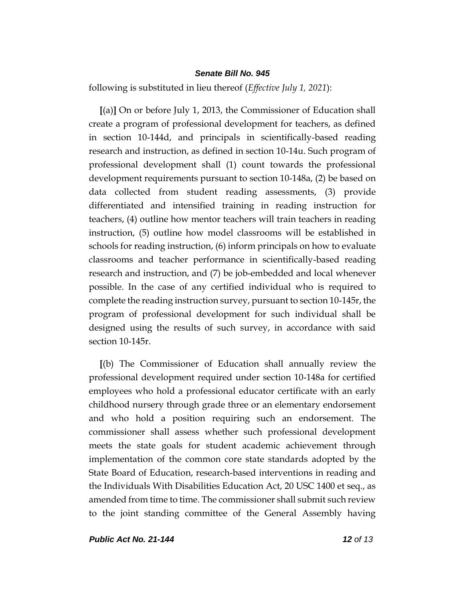following is substituted in lieu thereof (*Effective July 1, 2021*):

**[**(a)**]** On or before July 1, 2013, the Commissioner of Education shall create a program of professional development for teachers, as defined in section 10-144d, and principals in scientifically-based reading research and instruction, as defined in section 10-14u. Such program of professional development shall (1) count towards the professional development requirements pursuant to section 10-148a, (2) be based on data collected from student reading assessments, (3) provide differentiated and intensified training in reading instruction for teachers, (4) outline how mentor teachers will train teachers in reading instruction, (5) outline how model classrooms will be established in schools for reading instruction, (6) inform principals on how to evaluate classrooms and teacher performance in scientifically-based reading research and instruction, and (7) be job-embedded and local whenever possible. In the case of any certified individual who is required to complete the reading instruction survey, pursuant to section 10-145r, the program of professional development for such individual shall be designed using the results of such survey, in accordance with said section 10-145r.

**[**(b) The Commissioner of Education shall annually review the professional development required under section 10-148a for certified employees who hold a professional educator certificate with an early childhood nursery through grade three or an elementary endorsement and who hold a position requiring such an endorsement. The commissioner shall assess whether such professional development meets the state goals for student academic achievement through implementation of the common core state standards adopted by the State Board of Education, research-based interventions in reading and the Individuals With Disabilities Education Act, 20 USC 1400 et seq., as amended from time to time. The commissioner shall submit such review to the joint standing committee of the General Assembly having